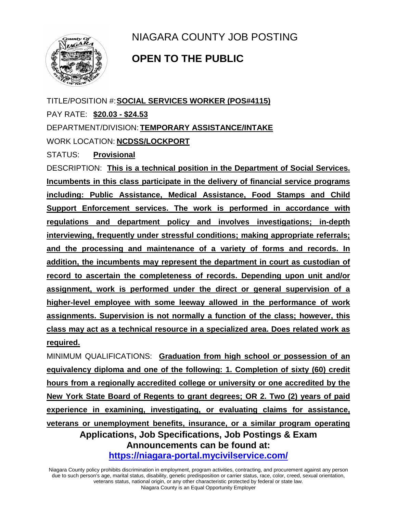

NIAGARA COUNTY JOB POSTING

## **OPEN TO THE PUBLIC**

TITLE/POSITION #:**SOCIAL SERVICES WORKER (POS#4115)** PAY RATE: **\$20.03 - \$24.53** DEPARTMENT/DIVISION: **TEMPORARY ASSISTANCE/INTAKE** WORK LOCATION: **NCDSS/LOCKPORT**

STATUS: **Provisional**

DESCRIPTION: **This is a technical position in the Department of Social Services. Incumbents in this class participate in the delivery of financial service programs including: Public Assistance, Medical Assistance, Food Stamps and Child Support Enforcement services. The work is performed in accordance with regulations and department policy and involves investigations; in-depth interviewing, frequently under stressful conditions; making appropriate referrals; and the processing and maintenance of a variety of forms and records. In addition, the incumbents may represent the department in court as custodian of record to ascertain the completeness of records. Depending upon unit and/or assignment, work is performed under the direct or general supervision of a higher-level employee with some leeway allowed in the performance of work assignments. Supervision is not normally a function of the class; however, this class may act as a technical resource in a specialized area. Does related work as required.**

**Applications, Job Specifications, Job Postings & Exam Announcements can be found at: <https://niagara-portal.mycivilservice.com/>** MINIMUM QUALIFICATIONS: **Graduation from high school or possession of an equivalency diploma and one of the following: 1. Completion of sixty (60) credit hours from a regionally accredited college or university or one accredited by the New York State Board of Regents to grant degrees; OR 2. Two (2) years of paid experience in examining, investigating, or evaluating claims for assistance, veterans or unemployment benefits, insurance, or a similar program operating** 

Niagara County policy prohibits discrimination in employment, program activities, contracting, and procurement against any person due to such person's age, marital status, disability, genetic predisposition or carrier status, race, color, creed, sexual orientation, veterans status, national origin, or any other characteristic protected by federal or state law. Niagara County is an Equal Opportunity Employer